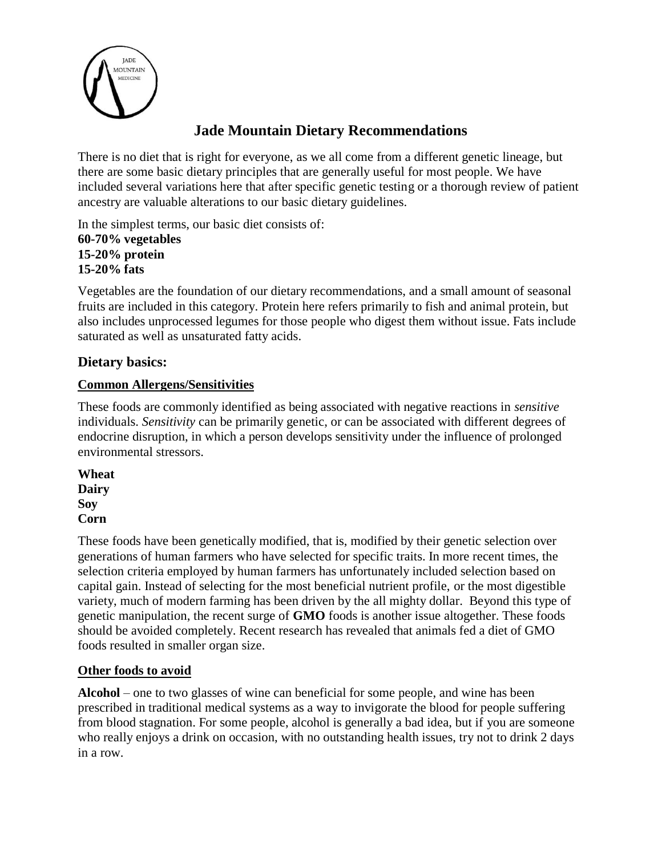

# **Jade Mountain Dietary Recommendations**

There is no diet that is right for everyone, as we all come from a different genetic lineage, but there are some basic dietary principles that are generally useful for most people. We have included several variations here that after specific genetic testing or a thorough review of patient ancestry are valuable alterations to our basic dietary guidelines.

In the simplest terms, our basic diet consists of:

**60-70% vegetables 15-20% protein 15-20% fats** 

Vegetables are the foundation of our dietary recommendations, and a small amount of seasonal fruits are included in this category. Protein here refers primarily to fish and animal protein, but also includes unprocessed legumes for those people who digest them without issue. Fats include saturated as well as unsaturated fatty acids.

# **Dietary basics:**

# **Common Allergens/Sensitivities**

These foods are commonly identified as being associated with negative reactions in *sensitive*  individuals. *Sensitivity* can be primarily genetic, or can be associated with different degrees of endocrine disruption, in which a person develops sensitivity under the influence of prolonged environmental stressors.

**Wheat Dairy Soy Corn**

These foods have been genetically modified, that is, modified by their genetic selection over generations of human farmers who have selected for specific traits. In more recent times, the selection criteria employed by human farmers has unfortunately included selection based on capital gain. Instead of selecting for the most beneficial nutrient profile, or the most digestible variety, much of modern farming has been driven by the all mighty dollar. Beyond this type of genetic manipulation, the recent surge of **GMO** foods is another issue altogether. These foods should be avoided completely. Recent research has revealed that animals fed a diet of GMO foods resulted in smaller organ size.

# **Other foods to avoid**

**Alcohol** – one to two glasses of wine can beneficial for some people, and wine has been prescribed in traditional medical systems as a way to invigorate the blood for people suffering from blood stagnation. For some people, alcohol is generally a bad idea, but if you are someone who really enjoys a drink on occasion, with no outstanding health issues, try not to drink 2 days in a row.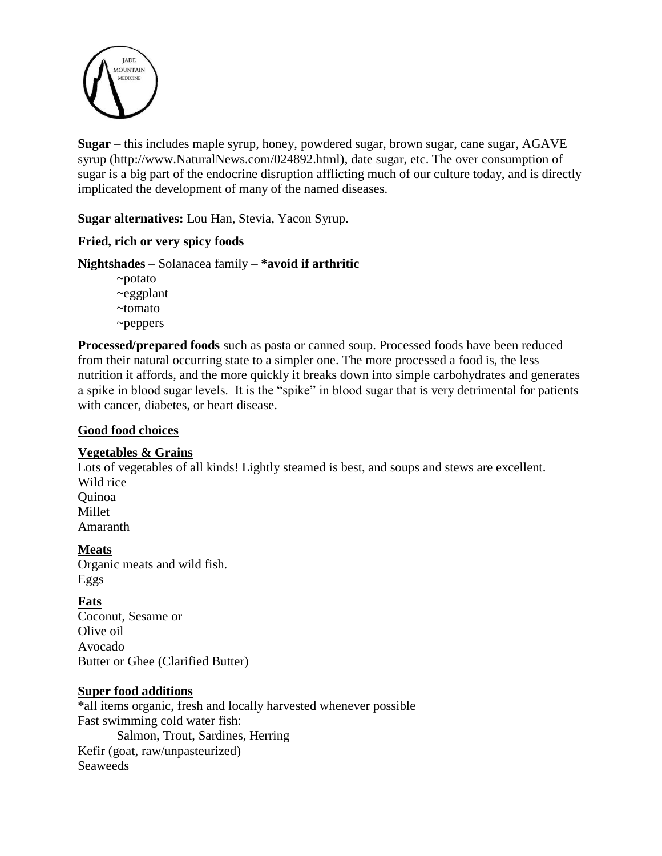

**Sugar** – this includes maple syrup, honey, powdered sugar, brown sugar, cane sugar, AGAVE syrup (http://www.NaturalNews.com/024892.html), date sugar, etc. The over consumption of sugar is a big part of the endocrine disruption afflicting much of our culture today, and is directly implicated the development of many of the named diseases.

**Sugar alternatives:** Lou Han, Stevia, Yacon Syrup.

## **Fried, rich or very spicy foods**

## **Nightshades** – Solanacea family – **\*avoid if arthritic**

~potato ~eggplant ~tomato ~peppers

**Processed/prepared foods** such as pasta or canned soup. Processed foods have been reduced from their natural occurring state to a simpler one. The more processed a food is, the less nutrition it affords, and the more quickly it breaks down into simple carbohydrates and generates a spike in blood sugar levels. It is the "spike" in blood sugar that is very detrimental for patients with cancer, diabetes, or heart disease.

#### **Good food choices**

## **Vegetables & Grains**

Lots of vegetables of all kinds! Lightly steamed is best, and soups and stews are excellent. Wild rice Quinoa Millet Amaranth

#### **Meats**

Organic meats and wild fish. Eggs

## **Fats**

Coconut, Sesame or Olive oil Avocado Butter or Ghee (Clarified Butter)

#### **Super food additions**

\*all items organic, fresh and locally harvested whenever possible Fast swimming cold water fish: Salmon, Trout, Sardines, Herring Kefir (goat, raw/unpasteurized) Seaweeds